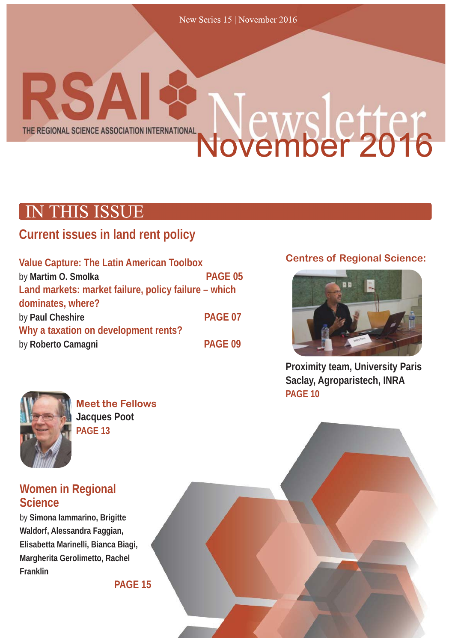New Series 15 | November 2016

### Newsletter<br>November 2016 THE REGIONAL SCIENCE ASSOCIATION INTERNATIONAL

**RSAI&** 

### **IN THIS ISSUE**

### **Current issues in land rent policy**

| <b>Value Capture: The Latin American Toolbox</b>     |                |
|------------------------------------------------------|----------------|
| by Martim O. Smolka                                  | <b>PAGE 05</b> |
| Land markets: market failure, policy failure - which |                |
| dominates, where?                                    |                |
| by Paul Cheshire                                     | PAGE 07        |
| Why a taxation on development rents?                 |                |
| by Roberto Camagni                                   | PAGE 09        |
|                                                      |                |

### **Centres of Regional Science:**



**Proximity team, University Paris Saclay, Agroparistech, INRA PAGE 10**



**Meet the Fellows Jacques Poot PAGE 13**

### **Women in Regional Science**

by **Simona Iammarino, Brigitte Waldorf, Alessandra Faggian, Elisabetta Marinelli, Bianca Biagi, Margherita Gerolimetto, Rachel Franklin**

**PAGE 15**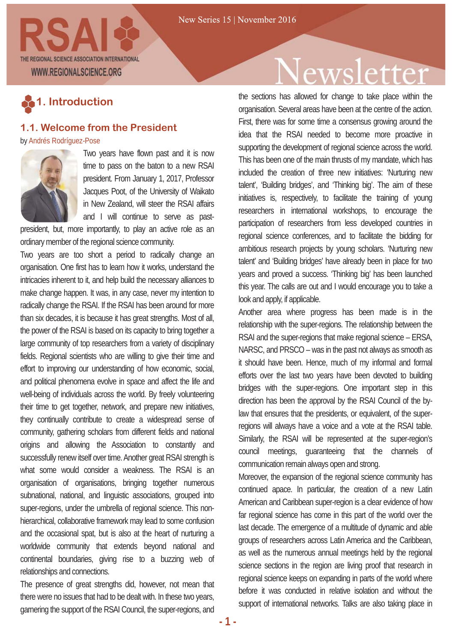

### **1. Introduction**

#### **1.1. Welcome from the President**

by Andrés Rodríguez-Pose



Two years have flown past and it is now time to pass on the baton to a new RSAI president. From January 1, 2017, Professor Jacques Poot, of the University of Waikato in New Zealand, will steer the RSAI affairs and I will continue to serve as past-

president, but, more importantly, to play an active role as an ordinary member of the regional science community.

Two years are too short a period to radically change an organisation. One first has to learn how it works, understand the intricacies inherent to it, and help build the necessary alliances to make change happen. It was, in any case, never my intention to radically change the RSAI. If the RSAI has been around for more than six decades, it is because it has great strengths. Most of all, the power of the RSAI is based on its capacity to bring together a large community of top researchers from a variety of disciplinary fields. Regional scientists who are willing to give their time and effort to improving our understanding of how economic, social, and political phenomena evolve in space and affect the life and well-being of individuals across the world. By freely volunteering their time to get together, network, and prepare new initiatives, they continually contribute to create a widespread sense of community, gathering scholars from different fields and national origins and allowing the Association to constantly and successfully renew itself over time. Another great RSAI strength is what some would consider a weakness. The RSAI is an organisation of organisations, bringing together numerous subnational, national, and linguistic associations, grouped into super-regions, under the umbrella of regional science. This nonhierarchical, collaborative framework may lead to some confusion and the occasional spat, but is also at the heart of nurturing a worldwide community that extends beyond national and continental boundaries, giving rise to a buzzing web of relationships and connections.

The presence of great strengths did, however, not mean that there were no issues that had to be dealt with. In these two years, garnering the support of the RSAI Council, the super-regions, and

# Vewsletter

the sections has allowed for change to take place within the organisation. Several areas have been at the centre of the action. First, there was for some time a consensus growing around the idea that the RSAI needed to become more proactive in supporting the development of regional science across the world. This has been one of the main thrusts of my mandate, which has included the creation of three new initiatives: 'Nurturing new talent', 'Building bridges', and 'Thinking big'. The aim of these initiatives is, respectively, to facilitate the training of young researchers in international workshops, to encourage the participation of researchers from less developed countries in regional science conferences, and to facilitate the bidding for ambitious research projects by young scholars. 'Nurturing new talent' and 'Building bridges' have already been in place for two years and proved a success. 'Thinking big' has been launched this year. The calls are out and I would encourage you to take a look and apply, if applicable.

Another area where progress has been made is in the relationship with the super-regions. The relationship between the RSAI and the super-regions that make regional science – ERSA, NARSC, and PRSCO – was in the past not always as smooth as it should have been. Hence, much of my informal and formal efforts over the last two years have been devoted to building bridges with the super-regions. One important step in this direction has been the approval by the RSAI Council of the bylaw that ensures that the presidents, or equivalent, of the superregions will always have a voice and a vote at the RSAI table. Similarly, the RSAI will be represented at the super-region's council meetings, guaranteeing that the channels of communication remain always open and strong.

Moreover, the expansion of the regional science community has continued apace. In particular, the creation of a new Latin American and Caribbean super-region is a clear evidence of how far regional science has come in this part of the world over the last decade. The emergence of a multitude of dynamic and able groups of researchers across Latin America and the Caribbean, as well as the numerous annual meetings held by the regional science sections in the region are living proof that research in regional science keeps on expanding in parts of the world where before it was conducted in relative isolation and without the support of international networks. Talks are also taking place in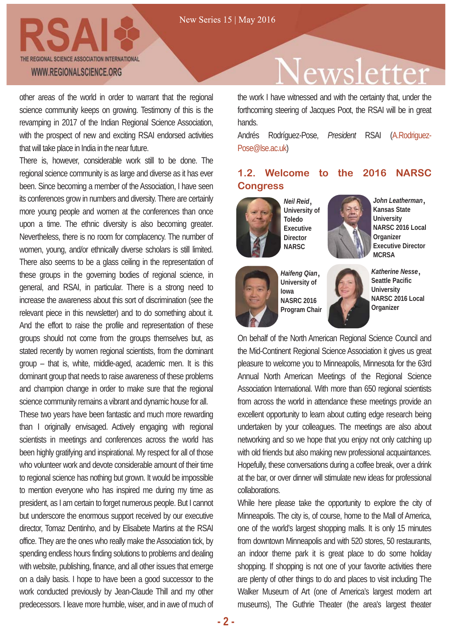

other areas of the world in order to warrant that the regional science community keeps on growing. Testimony of this is the revamping in 2017 of the Indian Regional Science Association, with the prospect of new and exciting RSAI endorsed activities that will take place in India in the near future.

There is, however, considerable work still to be done. The regional science community is as large and diverse as it has ever been. Since becoming a member of the Association, I have seen its conferences grow in numbers and diversity. There are certainly more young people and women at the conferences than once upon a time. The ethnic diversity is also becoming greater. Nevertheless, there is no room for complacency. The number of women, young, and/or ethnically diverse scholars is still limited. There also seems to be a glass ceiling in the representation of these groups in the governing bodies of regional science, in general, and RSAI, in particular. There is a strong need to increase the awareness about this sort of discrimination (see the relevant piece in this newsletter) and to do something about it. And the effort to raise the profile and representation of these groups should not come from the groups themselves but, as stated recently by women regional scientists, from the dominant group – that is, white, middle-aged, academic men. It is this dominant group that needs to raise awareness of these problems and champion change in order to make sure that the regional science community remains a vibrant and dynamic house for all.

These two years have been fantastic and much more rewarding than I originally envisaged. Actively engaging with regional scientists in meetings and conferences across the world has been highly gratifying and inspirational. My respect for all of those who volunteer work and devote considerable amount of their time to regional science has nothing but grown. It would be impossible to mention everyone who has inspired me during my time as president, as I am certain to forget numerous people. But I cannot but underscore the enormous support received by our executive director, Tomaz Dentinho, and by Elisabete Martins at the RSAI office. They are the ones who really make the Association tick, by spending endless hours finding solutions to problems and dealing with website, publishing, finance, and all other issues that emerge on a daily basis. I hope to have been a good successor to the work conducted previously by Jean-Claude Thill and my other predecessors. I leave more humble, wiser, and in awe of much of

# ewsletter

the work I have witnessed and with the certainty that, under the forthcoming steering of Jacques Poot, the RSAI will be in great hands.

Andrés Rodríguez-Pose, *President* RSAI (A.Rodriguez-Pose@lse.ac.uk)

### **1.2. Welcome to the 2016 NARSC Congress**



*Neil Reid* **University of Toledo Executive Director NARSC**







*Haifeng Qian* **University of Iowa NASRC 2016 Program Chair**



*Katherine Nesse* **Seattle Pacific University NARSC 2016 Local Organizer**

On behalf of the North American Regional Science Council and the Mid-Continent Regional Science Association it gives us great pleasure to welcome you to Minneapolis, Minnesota for the 63rd Annual North American Meetings of the Regional Science Association International. With more than 650 regional scientists from across the world in attendance these meetings provide an excellent opportunity to learn about cutting edge research being undertaken by your colleagues. The meetings are also about networking and so we hope that you enjoy not only catching up with old friends but also making new professional acquaintances. Hopefully, these conversations during a coffee break, over a drink at the bar, or over dinner will stimulate new ideas for professional collaborations.

While here please take the opportunity to explore the city of Minneapolis. The city is, of course, home to the Mall of America, one of the world's largest shopping malls. It is only 15 minutes from downtown Minneapolis and with 520 stores, 50 restaurants, an indoor theme park it is great place to do some holiday shopping. If shopping is not one of your favorite activities there are plenty of other things to do and places to visit including The Walker Museum of Art (one of America's largest modern art museums), The Guthrie Theater (the area's largest theater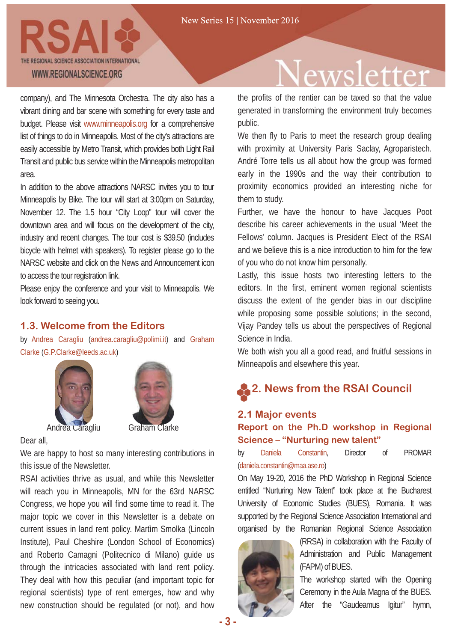

company), and The Minnesota Orchestra. The city also has a vibrant dining and bar scene with something for every taste and budget. Please visit www.minneapolis.org for a comprehensive list of things to do in Minneapolis. Most of the city's attractions are easily accessible by Metro Transit, which provides both Light Rail Transit and public bus service within the Minneapolis metropolitan area.

In addition to the above attractions NARSC invites you to tour Minneapolis by Bike. The tour will start at 3:00pm on Saturday, November 12. The 1.5 hour "City Loop" tour will cover the downtown area and will focus on the development of the city, industry and recent changes. The tour cost is \$39.50 (includes bicycle with helmet with speakers). To register please go to the NARSC website and click on the News and Announcement icon to access the tour registration link.

Please enjoy the conference and your visit to Minneapolis. We look forward to seeing you.

#### **1.3. Welcome from the Editors**

by Andrea Caragliu (andrea.caragliu@polimi.it) and Graham Clarke (G.P.Clarke@leeds.ac.uk)





Dear all, We are happy to host so many interesting contributions in

this issue of the Newsletter. RSAI activities thrive as usual, and while this Newsletter will reach you in Minneapolis, MN for the 63rd NARSC Congress, we hope you will find some time to read it. The

major topic we cover in this Newsletter is a debate on current issues in land rent policy. Martìm Smolka (Lincoln Institute), Paul Cheshire (London School of Economics) and Roberto Camagni (Politecnico di Milano) guide us through the intricacies associated with land rent policy. They deal with how this peculiar (and important topic for regional scientists) type of rent emerges, how and why new construction should be regulated (or not), and how

# ewsletter

the profits of the rentier can be taxed so that the value generated in transforming the environment truly becomes public.

We then fly to Paris to meet the research group dealing with proximity at University Paris Saclay, Agroparistech. André Torre tells us all about how the group was formed early in the 1990s and the way their contribution to proximity economics provided an interesting niche for them to study.

Further, we have the honour to have Jacques Poot describe his career achievements in the usual 'Meet the Fellows' column. Jacques is President Elect of the RSAI and we believe this is a nice introduction to him for the few of you who do not know him personally.

Lastly, this issue hosts two interesting letters to the editors. In the first, eminent women regional scientists discuss the extent of the gender bias in our discipline while proposing some possible solutions; in the second, Vijay Pandey tells us about the perspectives of Regional Science in India.

We both wish you all a good read, and fruitful sessions in Minneapolis and elsewhere this year.

### **2. News from the RSAI Council**

#### **2.1 Major events Report on the Ph.D workshop in Regional Science – "Nurturing new talent"**

by Daniela Constantin, Director of PROMAR (daniela.constantin@maa.ase.ro)

On May 19-20, 2016 the PhD Workshop in Regional Science entitled "Nurturing New Talent" took place at the Bucharest University of Economic Studies (BUES), Romania. It was supported by the Regional Science Association International and organised by the Romanian Regional Science Association



(RRSA) in collaboration with the Faculty of Administration and Public Management (FAPM) of BUES.

The workshop started with the Opening Ceremony in the Aula Magna of the BUES. After the "Gaudeamus Igitur" hymn,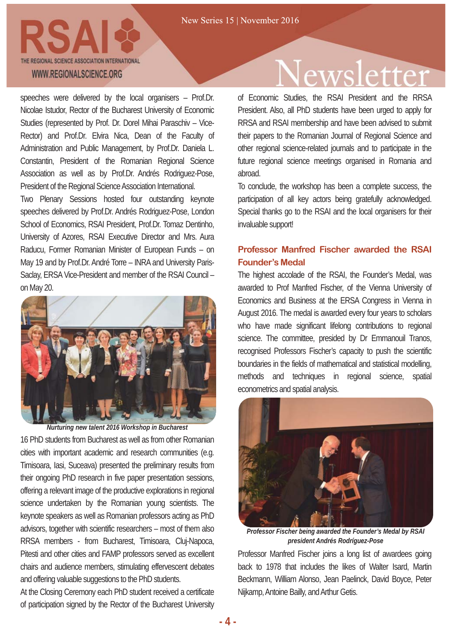

speeches were delivered by the local organisers – Prof.Dr. Nicolae Istudor, Rector of the Bucharest University of Economic Studies (represented by Prof. Dr. Dorel Mihai Paraschiv – Vice-Rector) and Prof.Dr. Elvira Nica, Dean of the Faculty of Administration and Public Management, by Prof.Dr. Daniela L. Constantin, President of the Romanian Regional Science Association as well as by Prof.Dr. Andrés Rodriguez-Pose, President of the Regional Science Association International.

Two Plenary Sessions hosted four outstanding keynote speeches delivered by Prof.Dr. Andrés Rodriguez-Pose, London School of Economics, RSAI President, Prof.Dr. Tomaz Dentinho, University of Azores, RSAI Executive Director and Mrs. Aura Raducu, Former Romanian Minister of European Funds – on May 19 and by Prof.Dr. André Torre – INRA and University Paris-Saclay, ERSA Vice-President and member of the RSAI Council – on May 20.



*Nurturing new talent 2016 Workshop in Bucharest*

16 PhD students from Bucharest as well as from other Romanian cities with important academic and research communities (e.g. Timisoara, Iasi, Suceava) presented the preliminary results from their ongoing PhD research in five paper presentation sessions, offering a relevant image of the productive explorations in regional science undertaken by the Romanian young scientists. The keynote speakers as well as Romanian professors acting as PhD advisors, together with scientific researchers – most of them also RRSA members - from Bucharest, Timisoara, Cluj-Napoca, Pitesti and other cities and FAMP professors served as excellent chairs and audience members, stimulating effervescent debates and offering valuable suggestions to the PhD students.

At the Closing Ceremony each PhD student received a certificate of participation signed by the Rector of the Bucharest University

### wsletter

of Economic Studies, the RSAI President and the RRSA President. Also, all PhD students have been urged to apply for RRSA and RSAI membership and have been advised to submit their papers to the Romanian Journal of Regional Science and other regional science-related journals and to participate in the future regional science meetings organised in Romania and abroad.

To conclude, the workshop has been a complete success, the participation of all key actors being gratefully acknowledged. Special thanks go to the RSAI and the local organisers for their invaluable support!

#### **Professor Manfred Fischer awarded the RSAI Founder's Medal**

The highest accolade of the RSAI, the Founder's Medal, was awarded to Prof Manfred Fischer, of the Vienna University of Economics and Business at the ERSA Congress in Vienna in August 2016. The medal is awarded every four years to scholars who have made significant lifelong contributions to regional science. The committee, presided by Dr Emmanouil Tranos, recognised Professors Fischer's capacity to push the scientific boundaries in the fields of mathematical and statistical modelling, methods and techniques in regional science, spatial econometrics and spatial analysis.



*Professor Fischer being awarded the Founder's Medal by RSAI president Andrés Rodríguez-Pose*

Professor Manfred Fischer joins a long list of awardees going back to 1978 that includes the likes of Walter Isard, Martin Beckmann, William Alonso, Jean Paelinck, David Boyce, Peter Nijkamp, Antoine Bailly, and Arthur Getis.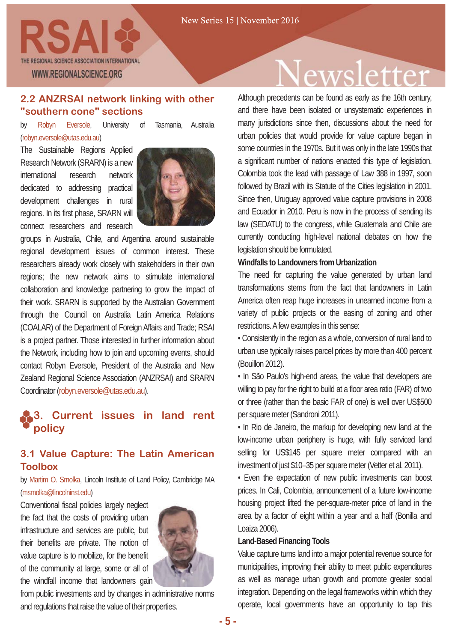

#### **2.2 ANZRSAI network linking with other "southern cone" sections**

by Robyn Eversole, University of Tasmania, Australia (robyn.eversole@utas.edu.au)

The Sustainable Regions Applied Research Network (SRARN) is a new international research network dedicated to addressing practical development challenges in rural regions. In its first phase, SRARN will connect researchers and research



groups in Australia, Chile, and Argentina around sustainable regional development issues of common interest. These researchers already work closely with stakeholders in their own regions; the new network aims to stimulate international collaboration and knowledge partnering to grow the impact of their work. SRARN is supported by the Australian Government through the Council on Australia Latin America Relations (COALAR) of the Department of Foreign Affairs and Trade; RSAI is a project partner. Those interested in further information about the Network, including how to join and upcoming events, should contact Robyn Eversole, President of the Australia and New Zealand Regional Science Association (ANZRSAI) and SRARN Coordinator (robyn.eversole@utas.edu.au).

### **3. Current issues in land rent policy**

#### **3.1 Value Capture: The Latin American Toolbox**

by Martim O. Smolka, Lincoln Institute of Land Policy, Cambridge MA (msmolka@lincolninst.edu)

Conventional fiscal policies largely neglect the fact that the costs of providing urban infrastructure and services are public, but their benefits are private. The notion of value capture is to mobilize, for the benefit of the community at large, some or all of the windfall income that landowners gain



from public investments and by changes in administrative norms and regulations that raise the value of their properties.

# wsletter

Although precedents can be found as early as the 16th century, and there have been isolated or unsystematic experiences in many jurisdictions since then, discussions about the need for urban policies that would provide for value capture began in some countries in the 1970s. But it was only in the late 1990s that a significant number of nations enacted this type of legislation. Colombia took the lead with passage of Law 388 in 1997, soon followed by Brazil with its Statute of the Cities legislation in 2001. Since then, Uruguay approved value capture provisions in 2008 and Ecuador in 2010. Peru is now in the process of sending its law (SEDATU) to the congress, while Guatemala and Chile are currently conducting high-level national debates on how the legislation should be formulated.

#### **Windfalls to Landowners from Urbanization**

The need for capturing the value generated by urban land transformations stems from the fact that landowners in Latin America often reap huge increases in unearned income from a variety of public projects or the easing of zoning and other restrictions. A few examples in this sense:

• Consistently in the region as a whole, conversion of rural land to urban use typically raises parcel prices by more than 400 percent (Bouillon 2012).

• In São Paulo's high-end areas, the value that developers are willing to pay for the right to build at a floor area ratio (FAR) of two or three (rather than the basic FAR of one) is well over US\$500 per square meter (Sandroni 2011).

• In Rio de Janeiro, the markup for developing new land at the low-income urban periphery is huge, with fully serviced land selling for US\$145 per square meter compared with an investment of just \$10–35 per square meter (Vetter et al. 2011).

• Even the expectation of new public investments can boost prices. In Cali, Colombia, announcement of a future low-income housing project lifted the per-square-meter price of land in the area by a factor of eight within a year and a half (Bonilla and Loaiza 2006).

#### **Land-Based Financing Tools**

Value capture turns land into a major potential revenue source for municipalities, improving their ability to meet public expenditures as well as manage urban growth and promote greater social integration. Depending on the legal frameworks within which they operate, local governments have an opportunity to tap this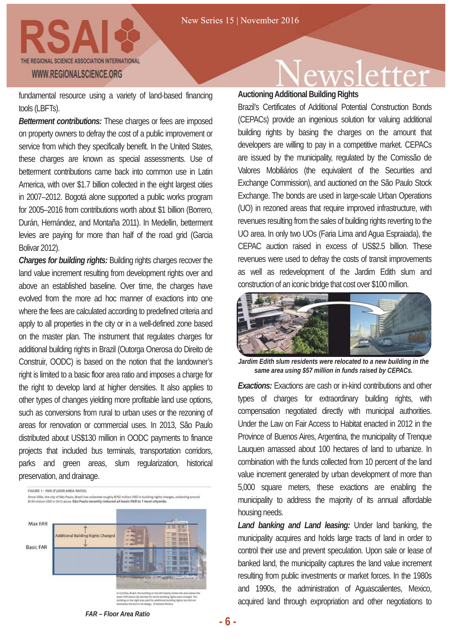

fundamental resource using a variety of land-based financing tools (LBFTs).

*Betterment contributions:* These charges or fees are imposed on property owners to defray the cost of a public improvement or service from which they specifically benefit. In the United States, these charges are known as special assessments. Use of betterment contributions came back into common use in Latin America, with over \$1.7 billion collected in the eight largest cities in 2007–2012. Bogotá alone supported a public works program for 2005–2016 from contributions worth about \$1 billion (Borrero, Durán, Hernández, and Montaña 2011). In Medellin, betterment levies are paying for more than half of the road grid (Garcia Bolivar 2012).

*Charges for building rights:* Building rights charges recover the land value increment resulting from development rights over and above an established baseline. Over time, the charges have evolved from the more ad hoc manner of exactions into one where the fees are calculated according to predefined criteria and apply to all properties in the city or in a well-defined zone based on the master plan. The instrument that regulates charges for additional building rights in Brazil (Outorga Onerosa do Direito de Construir, OODC) is based on the notion that the landowner's right is limited to a basic floor area ratio and imposes a charge for the right to develop land at higher densities. It also applies to other types of changes yielding more profitable land use options, such as conversions from rural to urban uses or the rezoning of areas for renovation or commercial uses. In 2013, São Paulo distributed about US\$130 million in OODC payments to finance projects that included bus terminals, transportation corridors, parks and green areas, slum regularization, historical preservation, and drainage.



### ewsletter

**AuctioningAdditional Building Rights**

Brazil's Certificates of Additional Potential Construction Bonds (CEPACs) provide an ingenious solution for valuing additional building rights by basing the charges on the amount that developers are willing to pay in a competitive market. CEPACs are issued by the municipality, regulated by the Comissão de Valores Mobiliários (the equivalent of the Securities and Exchange Commission), and auctioned on the São Paulo Stock Exchange. The bonds are used in large-scale Urban Operations (UO) in rezoned areas that require improved infrastructure, with revenues resulting from the sales of building rights reverting to the UO area. In only two UOs (Faria Lima and Agua Espraiada), the CEPAC auction raised in excess of US\$2.5 billion. These revenues were used to defray the costs of transit improvements as well as redevelopment of the Jardim Edith slum and construction of an iconic bridge that cost over \$100 million.



*Jardim Edith slum residents were relocated to a new building in the same area using \$57 million in funds raised by CEPACs.*

*Exactions:* Exactions are cash or in-kind contributions and other types of charges for extraordinary building rights, with compensation negotiated directly with municipal authorities. Under the Law on Fair Access to Habitat enacted in 2012 in the Province of Buenos Aires, Argentina, the municipality of Trenque Lauquen amassed about 100 hectares of land to urbanize. In combination with the funds collected from 10 percent of the land value increment generated by urban development of more than 5,000 square meters, these exactions are enabling the municipality to address the majority of its annual affordable housing needs.

*Land banking and Land leasing:* Under land banking, the municipality acquires and holds large tracts of land in order to control their use and prevent speculation. Upon sale or lease of banked land, the municipality captures the land value increment resulting from public investments or market forces. In the 1980s and 1990s, the administration of Aguascalientes, Mexico, acquired land through expropriation and other negotiations to

*FAR – Floor Area Ratio*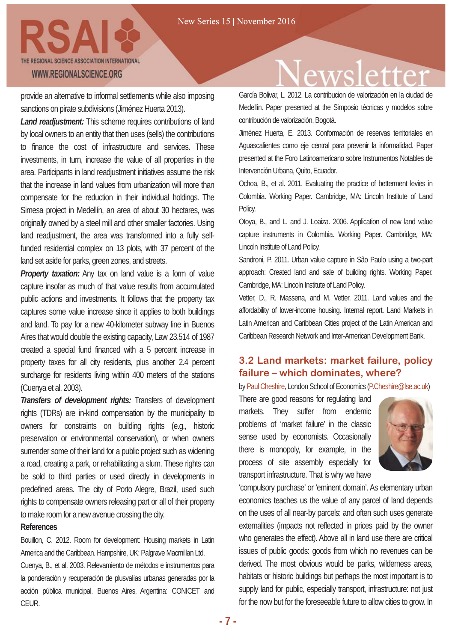provide an alternative to informal settlements while also imposing sanctions on pirate subdivisions (Jiménez Huerta 2013).

*Land readjustment:* This scheme requires contributions of land by local owners to an entity that then uses (sells) the contributions to finance the cost of infrastructure and services. These investments, in turn, increase the value of all properties in the area. Participants in land readjustment initiatives assume the risk that the increase in land values from urbanization will more than compensate for the reduction in their individual holdings. The Simesa project in Medellín, an area of about 30 hectares, was originally owned by a steel mill and other smaller factories. Using land readjustment, the area was transformed into a fully selffunded residential complex on 13 plots, with 37 percent of the land set aside for parks, green zones, and streets.

*Property taxation:* Any tax on land value is a form of value capture insofar as much of that value results from accumulated public actions and investments. It follows that the property tax captures some value increase since it applies to both buildings and land. To pay for a new 40-kilometer subway line in Buenos Aires that would double the existing capacity, Law 23.514 of 1987 created a special fund financed with a 5 percent increase in property taxes for all city residents, plus another 2.4 percent surcharge for residents living within 400 meters of the stations (Cuenya et al. 2003).

*Transfers of development rights:* Transfers of development rights (TDRs) are in-kind compensation by the municipality to owners for constraints on building rights (e.g., historic preservation or environmental conservation), or when owners surrender some of their land for a public project such as widening a road, creating a park, or rehabilitating a slum. These rights can be sold to third parties or used directly in developments in predefined areas. The city of Porto Alegre, Brazil, used such rights to compensate owners releasing part or all of their property to make room for a new avenue crossing the city.

#### **References**

Bouillon, C. 2012. Room for development: Housing markets in Latin America and the Caribbean. Hampshire, UK: Palgrave Macmillan Ltd. Cuenya, B., et al. 2003. Relevamiento de métodos e instrumentos para la ponderación y recuperación de plusvalías urbanas generadas por la acción pública municipal. Buenos Aires, Argentina: CONICET and CEUR.

### ettei

García Bolivar, L. 2012. La contribucion de valorización en la ciudad de Medellín. Paper presented at the Simposio técnicas y modelos sobre contribución de valorización, Bogotá.

Jiménez Huerta, E. 2013. Conformación de reservas territoriales en Aguascalientes como eje central para prevenir la informalidad. Paper presented at the Foro Latinoamericano sobre Instrumentos Notables de Intervención Urbana, Quito, Ecuador.

Ochoa, B., et al. 2011. Evaluating the practice of betterment levies in Colombia. Working Paper. Cambridge, MA: Lincoln Institute of Land Policy.

Otoya, B., and L. and J. Loaiza. 2006. Application of new land value capture instruments in Colombia. Working Paper. Cambridge, MA: Lincoln Institute of Land Policy.

Sandroni, P. 2011. Urban value capture in São Paulo using a two-part approach: Created land and sale of building rights. Working Paper. Cambridge, MA: Lincoln Institute of Land Policy.

Vetter, D., R. Massena, and M. Vetter. 2011. Land values and the affordability of lower-income housing. Internal report. Land Markets in Latin American and Caribbean Cities project of the Latin American and Caribbean Research Network and Inter-American Development Bank.

### **3.2 Land markets: market failure, policy failure – which dominates, where?**

by Paul Cheshire, London School of Economics (P.Cheshire@lse.ac.uk)

There are good reasons for regulating land markets. They suffer from endemic problems of 'market failure' in the classic sense used by economists. Occasionally there is monopoly, for example, in the process of site assembly especially for transport infrastructure. That is why we have



'compulsory purchase' or 'eminent domain'. As elementary urban economics teaches us the value of any parcel of land depends on the uses of all near-by parcels: and often such uses generate externalities (impacts not reflected in prices paid by the owner who generates the effect). Above all in land use there are critical issues of public goods: goods from which no revenues can be derived. The most obvious would be parks, wilderness areas, habitats or historic buildings but perhaps the most important is to supply land for public, especially transport, infrastructure: not just for the now but for the foreseeable future to allow cities to grow. In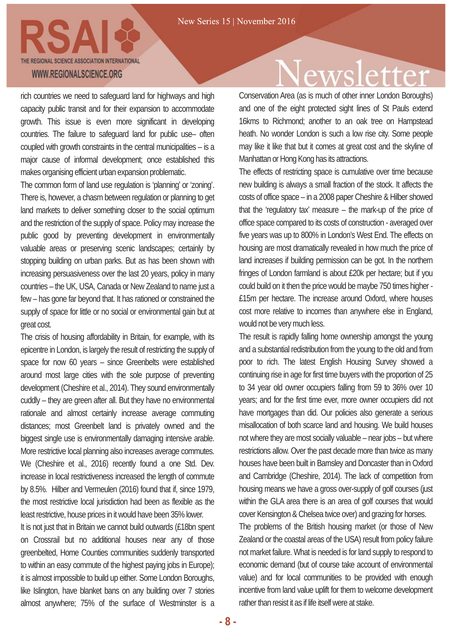

rich countries we need to safeguard land for highways and high capacity public transit and for their expansion to accommodate growth. This issue is even more significant in developing countries. The failure to safeguard land for public use– often coupled with growth constraints in the central municipalities – is a major cause of informal development; once established this makes organising efficient urban expansion problematic.

The common form of land use regulation is 'planning' or 'zoning'. There is, however, a chasm between regulation or planning to get land markets to deliver something closer to the social optimum and the restriction of the supply of space. Policy may increase the public good by preventing development in environmentally valuable areas or preserving scenic landscapes; certainly by stopping building on urban parks. But as has been shown with increasing persuasiveness over the last 20 years, policy in many countries – the UK, USA, Canada or New Zealand to name just a few – has gone far beyond that. It has rationed or constrained the supply of space for little or no social or environmental gain but at great cost.

The crisis of housing affordability in Britain, for example, with its epicentre in London, is largely the result of restricting the supply of space for now 60 years – since Greenbelts were established around most large cities with the sole purpose of preventing development (Cheshire et al., 2014). They sound environmentally cuddly – they are green after all. But they have no environmental rationale and almost certainly increase average commuting distances; most Greenbelt land is privately owned and the biggest single use is environmentally damaging intensive arable. More restrictive local planning also increases average commutes. We (Cheshire et al., 2016) recently found a one Std. Dev. increase in local restrictiveness increased the length of commute by 8.5%. Hilber and Vermeulen (2016) found that if, since 1979, the most restrictive local jurisdiction had been as flexible as the least restrictive, house prices in it would have been 35% lower.

It is not just that in Britain we cannot build outwards (£18bn spent on Crossrail but no additional houses near any of those greenbelted, Home Counties communities suddenly transported to within an easy commute of the highest paying jobs in Europe); it is almost impossible to build up either. Some London Boroughs, like Islington, have blanket bans on any building over 7 stories almost anywhere; 75% of the surface of Westminster is a

### wsletter

Conservation Area (as is much of other inner London Boroughs) and one of the eight protected sight lines of St Pauls extend 16kms to Richmond; another to an oak tree on Hampstead heath. No wonder London is such a low rise city. Some people may like it like that but it comes at great cost and the skyline of Manhattan or Hong Kong has its attractions.

The effects of restricting space is cumulative over time because new building is always a small fraction of the stock. It affects the costs of office space – in a 2008 paper Cheshire & Hilber showed that the 'regulatory tax' measure – the mark-up of the price of office space compared to its costs of construction - averaged over five years was up to 800% in London's West End. The effects on housing are most dramatically revealed in how much the price of land increases if building permission can be got. In the northern fringes of London farmland is about £20k per hectare; but if you could build on it then the price would be maybe 750 times higher - £15m per hectare. The increase around Oxford, where houses cost more relative to incomes than anywhere else in England, would not be very much less.

The result is rapidly falling home ownership amongst the young and a substantial redistribution from the young to the old and from poor to rich. The latest English Housing Survey showed a continuing rise in age for first time buyers with the proportion of 25 to 34 year old owner occupiers falling from 59 to 36% over 10 years; and for the first time ever, more owner occupiers did not have mortgages than did. Our policies also generate a serious misallocation of both scarce land and housing. We build houses not where they are most socially valuable – near jobs – but where restrictions allow. Over the past decade more than twice as many houses have been built in Barnsley and Doncaster than in Oxford and Cambridge (Cheshire, 2014). The lack of competition from housing means we have a gross over-supply of golf courses (just within the GLA area there is an area of golf courses that would cover Kensington & Chelsea twice over) and grazing for horses.

The problems of the British housing market (or those of New Zealand or the coastal areas of the USA) result from policy failure not market failure. What is needed is for land supply to respond to economic demand (but of course take account of environmental value) and for local communities to be provided with enough incentive from land value uplift for them to welcome development rather than resist it as if life itself were at stake.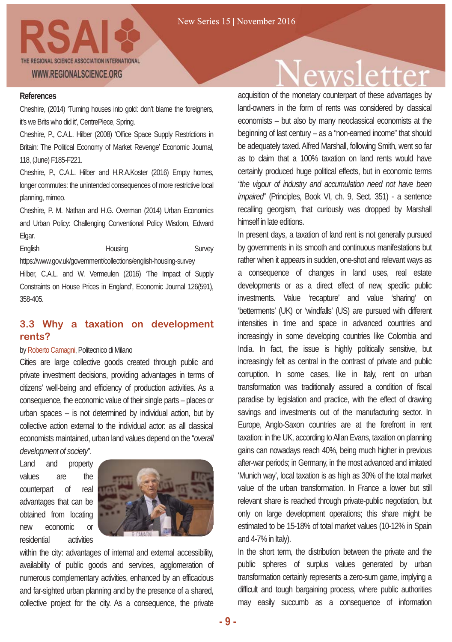

#### **References**

Cheshire, (2014) 'Turning houses into gold: don't blame the foreigners, it's we Brits who did it', CentrePiece, Spring.

Cheshire, P., C.A.L. Hilber (2008) 'Office Space Supply Restrictions in Britain: The Political Economy of Market Revenge' Economic Journal, 118, (June) F185-F221.

Cheshire, P., C.A.L. Hilber and H.R.A.Koster (2016) Empty homes, longer commutes: the unintended consequences of more restrictive local planning, mimeo.

Cheshire, P. M. Nathan and H.G. Overman (2014) Urban Economics and Urban Policy: Challenging Conventional Policy Wisdom, Edward Elgar.

English **Housing Survey** https://www.gov.uk/government/collections/english-housing-survey Hilber, C.A.L. and W. Vermeulen (2016) 'The Impact of Supply Constraints on House Prices in England', Economic Journal 126(591),

### **3.3 Why a taxation on development**

#### **rents?**

358-405.

#### by Roberto Camagni, Politecnico di Milano

Cities are large collective goods created through public and private investment decisions, providing advantages in terms of citizens' well-being and efficiency of production activities. As a consequence, the economic value of their single parts – places or urban spaces – is not determined by individual action, but by collective action external to the individual actor: as all classical economists maintained, urban land values depend on the "*overall development of society*".

Land and property values are the counterpart of real advantages that can be obtained from locating new economic or residential activities



within the city: advantages of internal and external accessibility, availability of public goods and services, agglomeration of numerous complementary activities, enhanced by an efficacious and far-sighted urban planning and by the presence of a shared, collective project for the city. As a consequence, the private

### wsletter

acquisition of the monetary counterpart of these advantages by land-owners in the form of rents was considered by classical economists – but also by many neoclassical economists at the beginning of last century – as a "non-earned income" that should be adequately taxed. Alfred Marshall, following Smith, went so far as to claim that a 100% taxation on land rents would have certainly produced huge political effects, but in economic terms *"the vigour of industry and accumulation need not have been impaired*" (Principles, Book VI, ch. 9, Sect. 351) - a sentence recalling georgism, that curiously was dropped by Marshall himself in late editions.

In present days, a taxation of land rent is not generally pursued by governments in its smooth and continuous manifestations but rather when it appears in sudden, one-shot and relevant ways as a consequence of changes in land uses, real estate developments or as a direct effect of new, specific public investments. Value 'recapture' and value 'sharing' on 'betterments' (UK) or 'windfalls' (US) are pursued with different intensities in time and space in advanced countries and increasingly in some developing countries like Colombia and India. In fact, the issue is highly politically sensitive, but increasingly felt as central in the contrast of private and public corruption. In some cases, like in Italy, rent on urban transformation was traditionally assured a condition of fiscal paradise by legislation and practice, with the effect of drawing savings and investments out of the manufacturing sector. In Europe, Anglo-Saxon countries are at the forefront in rent taxation: in the UK, according to Allan Evans, taxation on planning gains can nowadays reach 40%, being much higher in previous after-war periods; in Germany, in the most advanced and imitated 'Munich way', local taxation is as high as 30% of the total market value of the urban transformation. In France a lower but still relevant share is reached through private-public negotiation, but only on large development operations; this share might be estimated to be 15-18% of total market values (10-12% in Spain and 4-7% in Italy).

In the short term, the distribution between the private and the public spheres of surplus values generated by urban transformation certainly represents a zero-sum game, implying a difficult and tough bargaining process, where public authorities may easily succumb as a consequence of information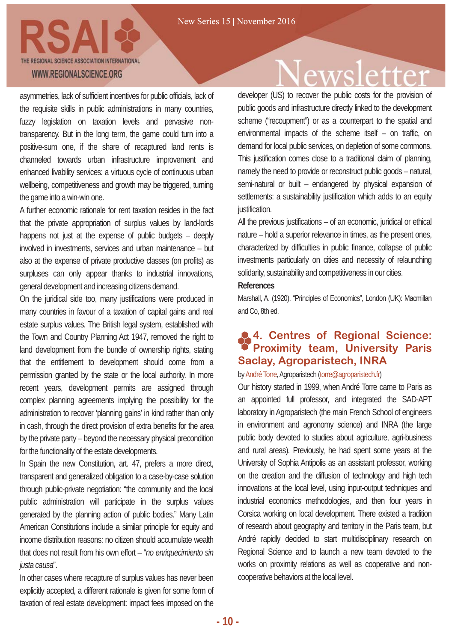

asymmetries, lack of sufficient incentives for public officials, lack of the requisite skills in public administrations in many countries, fuzzy legislation on taxation levels and pervasive nontransparency. But in the long term, the game could turn into a positive-sum one, if the share of recaptured land rents is channeled towards urban infrastructure improvement and enhanced livability services: a virtuous cycle of continuous urban wellbeing, competitiveness and growth may be triggered, turning the game into a win-win one.

A further economic rationale for rent taxation resides in the fact that the private appropriation of surplus values by land-lords happens not just at the expense of public budgets – deeply involved in investments, services and urban maintenance – but also at the expense of private productive classes (on profits) as surpluses can only appear thanks to industrial innovations, general development and increasing citizens demand.

On the juridical side too, many justifications were produced in many countries in favour of a taxation of capital gains and real estate surplus values. The British legal system, established with the Town and Country Planning Act 1947, removed the right to land development from the bundle of ownership rights, stating that the entitlement to development should come from a permission granted by the state or the local authority. In more recent years, development permits are assigned through complex planning agreements implying the possibility for the administration to recover 'planning gains' in kind rather than only in cash, through the direct provision of extra benefits for the area by the private party – beyond the necessary physical precondition for the functionality of the estate developments.

In Spain the new Constitution, art. 47, prefers a more direct, transparent and generalized obligation to a case-by-case solution through public-private negotiation: "the community and the local public administration will participate in the surplus values generated by the planning action of public bodies." Many Latin American Constitutions include a similar principle for equity and income distribution reasons: no citizen should accumulate wealth that does not result from his own effort – "*no enriquecimiento sin justa causa*".

In other cases where recapture of surplus values has never been explicitly accepted, a different rationale is given for some form of taxation of real estate development: impact fees imposed on the

### ewsletter

developer (US) to recover the public costs for the provision of public goods and infrastructure directly linked to the development scheme ("recoupment") or as a counterpart to the spatial and environmental impacts of the scheme itself – on traffic, on demand for local public services, on depletion of some commons. This justification comes close to a traditional claim of planning, namely the need to provide or reconstruct public goods – natural, semi-natural or built – endangered by physical expansion of settlements: a sustainability justification which adds to an equity justification.

All the previous justifications – of an economic, juridical or ethical nature – hold a superior relevance in times, as the present ones, characterized by difficulties in public finance, collapse of public investments particularly on cities and necessity of relaunching solidarity, sustainability and competitiveness in our cities.

#### **References**

Marshall, A. (1920). "Principles of Economics", London (UK): Macmillan and Co, 8th ed.

### **4. Centres of Regional Science: Proximity team, University Paris Saclay, Agroparistech, INRA**

#### by André Torre, Agroparistech (torre@agroparistech.fr)

Our history started in 1999, when André Torre came to Paris as an appointed full professor, and integrated the SAD-APT laboratory in Agroparistech (the main French School of engineers in environment and agronomy science) and INRA (the large public body devoted to studies about agriculture, agri-business and rural areas). Previously, he had spent some years at the University of Sophia Antipolis as an assistant professor, working on the creation and the diffusion of technology and high tech innovations at the local level, using input-output techniques and industrial economics methodologies, and then four years in Corsica working on local development. There existed a tradition of research about geography and territory in the Paris team, but André rapidly decided to start multidisciplinary research on Regional Science and to launch a new team devoted to the works on proximity relations as well as cooperative and noncooperative behaviors at the local level.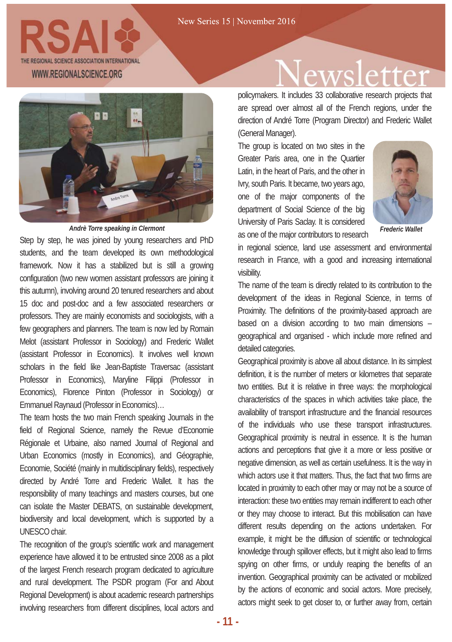

Step by step, he was joined by young researchers and PhD students, and the team developed its own methodological framework. Now it has a stabilized but is still a growing configuration (two new women assistant professors are joining it this autumn), involving around 20 tenured researchers and about 15 doc and post-doc and a few associated researchers or professors. They are mainly economists and sociologists, with a few geographers and planners. The team is now led by Romain Melot (assistant Professor in Sociology) and Frederic Wallet (assistant Professor in Economics). It involves well known scholars in the field like Jean-Baptiste Traversac (assistant Professor in Economics), Maryline Filippi (Professor in Economics), Florence Pinton (Professor in Sociology) or Emmanuel Raynaud (Professor in Economics)…

The team hosts the two main French speaking Journals in the field of Regional Science, namely the Revue d'Economie Régionale et Urbaine, also named Journal of Regional and Urban Economics (mostly in Economics), and Géographie, Economie, Société (mainly in multidisciplinary fields), respectively directed by André Torre and Frederic Wallet. It has the responsibility of many teachings and masters courses, but one can isolate the Master DEBATS, on sustainable development, biodiversity and local development, which is supported by a UNESCO chair.

The recognition of the group's scientific work and management experience have allowed it to be entrusted since 2008 as a pilot of the largest French research program dedicated to agriculture and rural development. The PSDR program (For and About Regional Development) is about academic research partnerships involving researchers from different disciplines, local actors and

### wsletter:

policymakers. It includes 33 collaborative research projects that are spread over almost all of the French regions, under the direction of André Torre (Program Director) and Frederic Wallet (General Manager).

The group is located on two sites in the Greater Paris area, one in the Quartier Latin, in the heart of Paris, and the other in Ivry, south Paris. It became, two years ago, one of the major components of the department of Social Science of the big University of Paris Saclay. It is considered as one of the major contributors to research *Andrè Torre speaking in Clermont Frederic Wallet*



in regional science, land use assessment and environmental research in France, with a good and increasing international visibility.

The name of the team is directly related to its contribution to the development of the ideas in Regional Science, in terms of Proximity. The definitions of the proximity-based approach are based on a division according to two main dimensions – geographical and organised - which include more refined and detailed categories.

Geographical proximity is above all about distance. In its simplest definition, it is the number of meters or kilometres that separate two entities. But it is relative in three ways: the morphological characteristics of the spaces in which activities take place, the availability of transport infrastructure and the financial resources of the individuals who use these transport infrastructures. Geographical proximity is neutral in essence. It is the human actions and perceptions that give it a more or less positive or negative dimension, as well as certain usefulness. It is the way in which actors use it that matters. Thus, the fact that two firms are located in proximity to each other may or may not be a source of interaction: these two entities may remain indifferent to each other or they may choose to interact. But this mobilisation can have different results depending on the actions undertaken. For example, it might be the diffusion of scientific or technological knowledge through spillover effects, but it might also lead to firms spying on other firms, or unduly reaping the benefits of an invention. Geographical proximity can be activated or mobilized by the actions of economic and social actors. More precisely, actors might seek to get closer to, or further away from, certain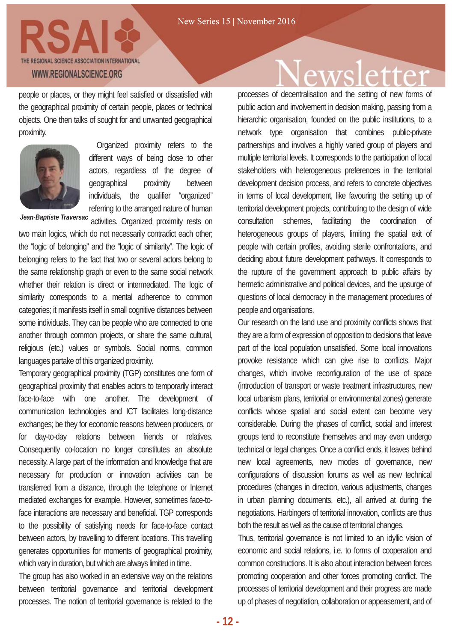

people or places, or they might feel satisfied or dissatisfied with the geographical proximity of certain people, places or technical objects. One then talks of sought for and unwanted geographical proximity.



Organized proximity refers to the different ways of being close to other actors, regardless of the degree of geographical proximity between individuals, the qualifier "organized" referring to the arranged nature of human

Jean-Baptiste Traversac activities. Organized proximity rests on

two main logics, which do not necessarily contradict each other; the "logic of belonging" and the "logic of similarity". The logic of belonging refers to the fact that two or several actors belong to the same relationship graph or even to the same social network whether their relation is direct or intermediated. The logic of similarity corresponds to a mental adherence to common categories; it manifests itself in small cognitive distances between some individuals. They can be people who are connected to one another through common projects, or share the same cultural, religious (etc.) values or symbols. Social norms, common languages partake of this organized proximity.

Temporary geographical proximity (TGP) constitutes one form of geographical proximity that enables actors to temporarily interact face-to-face with one another. The development of communication technologies and ICT facilitates long-distance exchanges; be they for economic reasons between producers, or for day-to-day relations between friends or relatives. Consequently co-location no longer constitutes an absolute necessity. A large part of the information and knowledge that are necessary for production or innovation activities can be transferred from a distance, through the telephone or Internet mediated exchanges for example. However, sometimes face-toface interactions are necessary and beneficial. TGP corresponds to the possibility of satisfying needs for face-to-face contact between actors, by travelling to different locations. This travelling generates opportunities for moments of geographical proximity, which vary in duration, but which are always limited in time.

The group has also worked in an extensive way on the relations between territorial governance and territorial development processes. The notion of territorial governance is related to the

### ewsletter

processes of decentralisation and the setting of new forms of public action and involvement in decision making, passing from a hierarchic organisation, founded on the public institutions, to a network type organisation that combines public-private partnerships and involves a highly varied group of players and multiple territorial levels. It corresponds to the participation of local stakeholders with heterogeneous preferences in the territorial development decision process, and refers to concrete objectives in terms of local development, like favouring the setting up of territorial development projects, contributing to the design of wide consultation schemes, facilitating the coordination of heterogeneous groups of players, limiting the spatial exit of people with certain profiles, avoiding sterile confrontations, and deciding about future development pathways. It corresponds to the rupture of the government approach to public affairs by hermetic administrative and political devices, and the upsurge of questions of local democracy in the management procedures of people and organisations.

Our research on the land use and proximity conflicts shows that they are a form of expression of opposition to decisions that leave part of the local population unsatisfied. Some local innovations provoke resistance which can give rise to conflicts. Major changes, which involve reconfiguration of the use of space (introduction of transport or waste treatment infrastructures, new local urbanism plans, territorial or environmental zones) generate conflicts whose spatial and social extent can become very considerable. During the phases of conflict, social and interest groups tend to reconstitute themselves and may even undergo technical or legal changes. Once a conflict ends, it leaves behind new local agreements, new modes of governance, new configurations of discussion forums as well as new technical procedures (changes in direction, various adjustments, changes in urban planning documents, etc.), all arrived at during the negotiations. Harbingers of territorial innovation, conflicts are thus both the result as well as the cause of territorial changes.

Thus, territorial governance is not limited to an idyllic vision of economic and social relations, i.e. to forms of cooperation and common constructions. It is also about interaction between forces promoting cooperation and other forces promoting conflict. The processes of territorial development and their progress are made up of phases of negotiation, collaboration or appeasement, and of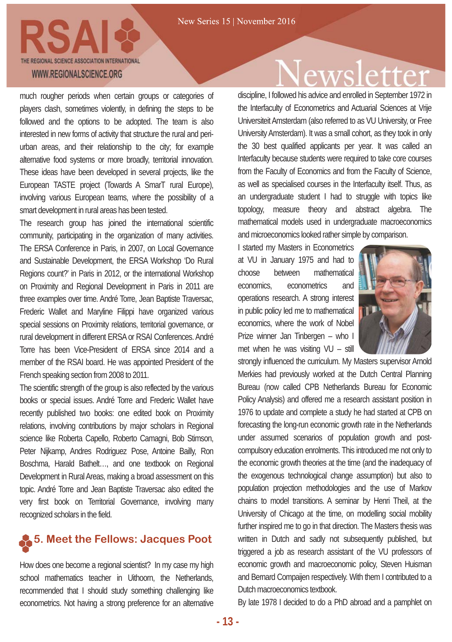

much rougher periods when certain groups or categories of players clash, sometimes violently, in defining the steps to be followed and the options to be adopted. The team is also interested in new forms of activity that structure the rural and periurban areas, and their relationship to the city; for example alternative food systems or more broadly, territorial innovation. These ideas have been developed in several projects, like the European TASTE project (Towards A SmarT rural Europe), involving various European teams, where the possibility of a smart development in rural areas has been tested.

The research group has joined the international scientific community, participating in the organization of many activities. The ERSA Conference in Paris, in 2007, on Local Governance and Sustainable Development, the ERSA Workshop 'Do Rural Regions count?' in Paris in 2012, or the international Workshop on Proximity and Regional Development in Paris in 2011 are three examples over time. André Torre, Jean Baptiste Traversac, Frederic Wallet and Maryline Filippi have organized various special sessions on Proximity relations, territorial governance, or rural development in different ERSA or RSAI Conferences. André Torre has been Vice-President of ERSA since 2014 and a member of the RSAI board. He was appointed President of the French speaking section from 2008 to 2011.

The scientific strength of the group is also reflected by the various books or special issues. André Torre and Frederic Wallet have recently published two books: one edited book on Proximity relations, involving contributions by major scholars in Regional science like Roberta Capello, Roberto Camagni, Bob Stimson, Peter Nijkamp, Andres Rodriguez Pose, Antoine Bailly, Ron Boschma, Harald Bathelt…, and one textbook on Regional Development in Rural Areas, making a broad assessment on this topic. André Torre and Jean Baptiste Traversac also edited the very first book on Territorial Governance, involving many recognized scholars in the field.

### **5. Meet the Fellows: Jacques Poot**

How does one become a regional scientist? In my case my high school mathematics teacher in Uithoorn, the Netherlands, recommended that I should study something challenging like econometrics. Not having a strong preference for an alternative

### ewsletter

discipline, I followed his advice and enrolled in September 1972 in the Interfaculty of Econometrics and Actuarial Sciences at Vrije Universiteit Amsterdam (also referred to as VU University, or Free University Amsterdam). It was a small cohort, as they took in only the 30 best qualified applicants per year. It was called an Interfaculty because students were required to take core courses from the Faculty of Economics and from the Faculty of Science, as well as specialised courses in the Interfaculty itself. Thus, as an undergraduate student I had to struggle with topics like topology, measure theory and abstract algebra. The mathematical models used in undergraduate macroeconomics and microeconomics looked rather simple by comparison.

I started my Masters in Econometrics at VU in January 1975 and had to choose between mathematical economics, econometrics and operations research. A strong interest in public policy led me to mathematical economics, where the work of Nobel Prize winner Jan Tinbergen – who I met when he was visiting VU – still



strongly influenced the curriculum. My Masters supervisor Arnold Merkies had previously worked at the Dutch Central Planning Bureau (now called CPB Netherlands Bureau for Economic Policy Analysis) and offered me a research assistant position in 1976 to update and complete a study he had started at CPB on forecasting the long-run economic growth rate in the Netherlands under assumed scenarios of population growth and postcompulsory education enrolments. This introduced me not only to the economic growth theories at the time (and the inadequacy of the exogenous technological change assumption) but also to population projection methodologies and the use of Markov chains to model transitions. A seminar by Henri Theil, at the University of Chicago at the time, on modelling social mobility further inspired me to go in that direction. The Masters thesis was written in Dutch and sadly not subsequently published, but triggered a job as research assistant of the VU professors of economic growth and macroeconomic policy, Steven Huisman and Bernard Compaijen respectively. With them I contributed to a Dutch macroeconomics textbook.

By late 1978 I decided to do a PhD abroad and a pamphlet on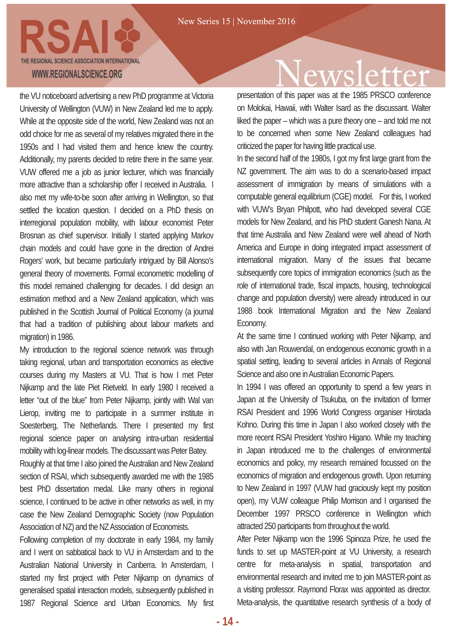the VU noticeboard advertising a new PhD programme at Victoria University of Wellington (VUW) in New Zealand led me to apply. While at the opposite side of the world, New Zealand was not an odd choice for me as several of my relatives migrated there in the 1950s and I had visited them and hence knew the country. Additionally, my parents decided to retire there in the same year. VUW offered me a job as junior lecturer, which was financially more attractive than a scholarship offer I received in Australia. I also met my wife-to-be soon after arriving in Wellington, so that settled the location question. I decided on a PhD thesis on interregional population mobility, with labour economist Peter Brosnan as chief supervisor. Initially I started applying Markov chain models and could have gone in the direction of Andrei Rogers' work, but became particularly intrigued by Bill Alonso's general theory of movements. Formal econometric modelling of this model remained challenging for decades. I did design an estimation method and a New Zealand application, which was published in the Scottish Journal of Political Economy (a journal that had a tradition of publishing about labour markets and migration) in 1986.

My introduction to the regional science network was through taking regional, urban and transportation economics as elective courses during my Masters at VU. That is how I met Peter Nijkamp and the late Piet Rietveld. In early 1980 I received a letter "out of the blue" from Peter Nijkamp, jointly with Wal van Lierop, inviting me to participate in a summer institute in Soesterberg, The Netherlands. There I presented my first regional science paper on analysing intra-urban residential mobility with log-linear models. The discussant was Peter Batey.

Roughly at that time I also joined the Australian and New Zealand section of RSAI, which subsequently awarded me with the 1985 best PhD dissertation medal. Like many others in regional science, I continued to be active in other networks as well, in my case the New Zealand Demographic Society (now Population Association of NZ) and the NZ Association of Economists.

Following completion of my doctorate in early 1984, my family and I went on sabbatical back to VU in Amsterdam and to the Australian National University in Canberra. In Amsterdam, I started my first project with Peter Nijkamp on dynamics of generalised spatial interaction models, subsequently published in 1987 Regional Science and Urban Economics. My first

### ewsletter

presentation of this paper was at the 1985 PRSCO conference on Molokai, Hawaii, with Walter Isard as the discussant. Walter liked the paper – which was a pure theory one – and told me not to be concerned when some New Zealand colleagues had criticized the paper for having little practical use.

In the second half of the 1980s, I got my first large grant from the NZ government. The aim was to do a scenario-based impact assessment of immigration by means of simulations with a computable general equilibrium (CGE) model. For this, I worked with VUW's Bryan Philpott, who had developed several CGE models for New Zealand, and his PhD student Ganesh Nana. At that time Australia and New Zealand were well ahead of North America and Europe in doing integrated impact assessment of international migration. Many of the issues that became subsequently core topics of immigration economics (such as the role of international trade, fiscal impacts, housing, technological change and population diversity) were already introduced in our 1988 book International Migration and the New Zealand Economy.

At the same time I continued working with Peter Nijkamp, and also with Jan Rouwendal, on endogenous economic growth in a spatial setting, leading to several articles in Annals of Regional Science and also one in Australian Economic Papers.

In 1994 I was offered an opportunity to spend a few years in Japan at the University of Tsukuba, on the invitation of former RSAI President and 1996 World Congress organiser Hirotada Kohno. During this time in Japan I also worked closely with the more recent RSAI President Yoshiro Higano. While my teaching in Japan introduced me to the challenges of environmental economics and policy, my research remained focussed on the economics of migration and endogenous growth. Upon returning to New Zealand in 1997 (VUW had graciously kept my position open), my VUW colleague Philip Morrison and I organised the December 1997 PRSCO conference in Wellington which attracted 250 participants from throughout the world.

After Peter Nijkamp won the 1996 Spinoza Prize, he used the funds to set up MASTER-point at VU University, a research centre for meta-analysis in spatial, transportation and environmental research and invited me to join MASTER-point as a visiting professor. Raymond Florax was appointed as director. Meta-analysis, the quantitative research synthesis of a body of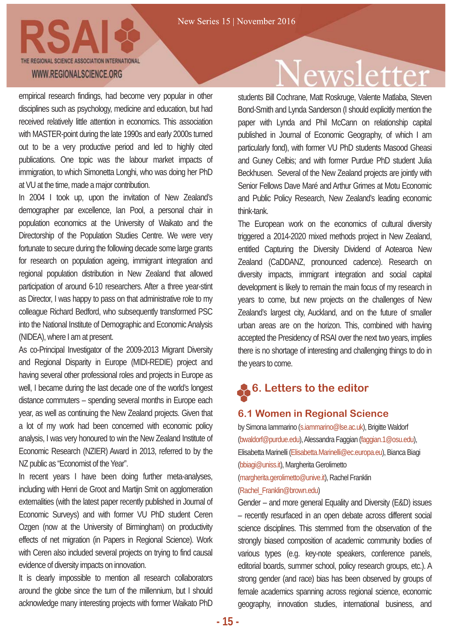

empirical research findings, had become very popular in other disciplines such as psychology, medicine and education, but had received relatively little attention in economics. This association with MASTER-point during the late 1990s and early 2000s turned out to be a very productive period and led to highly cited publications. One topic was the labour market impacts of immigration, to which Simonetta Longhi, who was doing her PhD at VU at the time, made a major contribution.

In 2004 I took up, upon the invitation of New Zealand's demographer par excellence, Ian Pool, a personal chair in population economics at the University of Waikato and the Directorship of the Population Studies Centre. We were very fortunate to secure during the following decade some large grants for research on population ageing, immigrant integration and regional population distribution in New Zealand that allowed participation of around 6-10 researchers. After a three year-stint as Director, I was happy to pass on that administrative role to my colleague Richard Bedford, who subsequently transformed PSC into the National Institute of Demographic and Economic Analysis (NIDEA), where I am at present.

As co-Principal Investigator of the 2009-2013 Migrant Diversity and Regional Disparity in Europe (MIDI-REDIE) project and having several other professional roles and projects in Europe as well, I became during the last decade one of the world's longest distance commuters – spending several months in Europe each year, as well as continuing the New Zealand projects. Given that a lot of my work had been concerned with economic policy analysis, I was very honoured to win the New Zealand Institute of Economic Research (NZIER) Award in 2013, referred to by the NZ public as "Economist of the Year".

In recent years I have been doing further meta-analyses, including with Henri de Groot and Martijn Smit on agglomeration externalities (with the latest paper recently published in Journal of Economic Surveys) and with former VU PhD student Ceren Ozgen (now at the University of Birmingham) on productivity effects of net migration (in Papers in Regional Science). Work with Ceren also included several projects on trying to find causal evidence of diversity impacts on innovation.

It is clearly impossible to mention all research collaborators around the globe since the turn of the millennium, but I should acknowledge many interesting projects with former Waikato PhD

### ewsletter

students Bill Cochrane, Matt Roskruge, Valente Matlaba, Steven Bond-Smith and Lynda Sanderson (I should explicitly mention the paper with Lynda and Phil McCann on relationship capital published in Journal of Economic Geography, of which I am particularly fond), with former VU PhD students Masood Gheasi and Guney Celbis; and with former Purdue PhD student Julia Beckhusen. Several of the New Zealand projects are jointly with Senior Fellows Dave Maré and Arthur Grimes at Motu Economic and Public Policy Research, New Zealand's leading economic think-tank.

The European work on the economics of cultural diversity triggered a 2014-2020 mixed methods project in New Zealand, entitled Capturing the Diversity Dividend of Aotearoa New Zealand (CaDDANZ, pronounced cadence). Research on diversity impacts, immigrant integration and social capital development is likely to remain the main focus of my research in years to come, but new projects on the challenges of New Zealand's largest city, Auckland, and on the future of smaller urban areas are on the horizon. This, combined with having accepted the Presidency of RSAI over the next two years, implies there is no shortage of interesting and challenging things to do in the years to come.

### **6. Letters to the editor**

#### **6.1 Women in Regional Science**

by Simona Iammarino (s.iammarino@lse.ac.uk), Brigitte Waldorf (bwaldorf@purdue.edu),Alessandra Faggian (faggian.1@osu.edu), Elisabetta Marinelli (Elisabetta.Marinelli@ec.europa.eu), Bianca Biagi (bbiagi@uniss.it), Margherita Gerolimetto

(margherita.gerolimetto@unive.it), Rachel Franklin (Rachel\_Franklin@brown.edu)

Gender – and more general Equality and Diversity (E&D) issues – recently resurfaced in an open debate across different social science disciplines. This stemmed from the observation of the strongly biased composition of academic community bodies of various types (e.g. key-note speakers, conference panels, editorial boards, summer school, policy research groups, etc.). A strong gender (and race) bias has been observed by groups of female academics spanning across regional science, economic geography, innovation studies, international business, and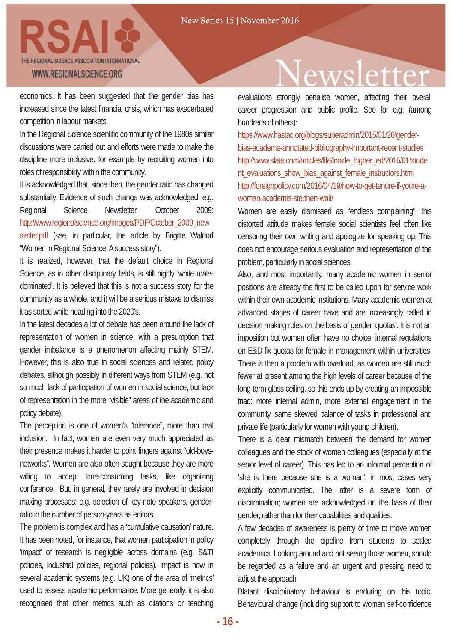

economics. It has been suggested that the gender bias has increased since the latest financial crisis, which has exacerbated competition in labour markets.

In the Regional Science scientific community of the 1980s similar discussions were carried out and efforts were made to make the discipline more inclusive, for example by recruiting women into roles of responsibility within the community.

It is acknowledged that, since then, the gender ratio has changed substantially. Evidence of such change was acknowledged, e.g. Regional Science Newsletter, October 2009: http://www.regionalscience.org/images/PDF/October\_2009\_new sletter.pdf (see, in particular, the article by Brigitte Waldorf "Women in Regional Science: A success story").

It is realized, however, that the default choice in Regional Science, as in other disciplinary fields, is still highly 'white maledominated'. It is believed that this is not a success story for the community as a whole, and it will be a serious mistake to dismiss it as sorted while heading into the 2020's.

In the latest decades a lot of debate has been around the lack of representation of women in science, with a presumption that gender imbalance is a phenomenon affecting mainly STEM. However, this is also true in social sciences and related policy debates, although possibly in different ways from STEM (e.g. not so much lack of participation of women in social science, but lack of representation in the more "visible" areas of the academic and policy debate).

The perception is one of women's "tolerance", more than real inclusion. In fact, women are even very much appreciated as their presence makes it harder to point fingers against "old-boysnetworks". Women are also often sought because they are more willing to accept time-consuming tasks, like organizing conference. But, in general, they rarely are involved in decision making processes: e.g. selection of key-note speakers, genderratio in the number of person-years as editors.

The problem is complex and has a 'cumulative causation' nature. It has been noted, for instance, that women participation in policy 'impact' of research is negligible across domains (e.g. S&TI policies, industrial policies, regional policies). Impact is now in several academic systems (e.g. UK) one of the area of 'metrics' used to assess academic performance. More generally, it is also recognised that other metrics such as citations or teaching

### ewsletter

evaluations strongly penalise women, affecting their overall career progression and public profile. See for e.g. (among hundreds of others):

https://www.hastac.org/blogs/superadmin/2015/01/26/genderbias-academe-annotated-bibliography-important-recent-studies http://www.slate.com/articles/life/inside\_higher\_ed/2016/01/stude nt\_evaluations\_show\_bias\_against\_female\_instructors.html http://foreignpolicy.com/2016/04/19/how-to-get-tenure-if-youre-awoman-academia-stephen-walt/

Women are easily dismissed as "endless complaining": this distorted attitude makes female social scientists feel often like censoring their own writing and apologize for speaking up. This does not encourage serious evaluation and representation of the problem, particularly in social sciences.

Also, and most importantly, many academic women in senior positions are already the first to be called upon for service work within their own academic institutions. Many academic women at advanced stages of career have and are increasingly called in decision making roles on the basis of gender 'quotas'. It is not an imposition but women often have no choice, internal regulations on E&D fix quotas for female in management within universities. There is then a problem with overload, as women are still much fewer at present among the high levels of career because of the long-term glass ceiling, so this ends up by creating an impossible triad: more internal admin, more external engagement in the community, same skewed balance of tasks in professional and private life (particularly for women with young children).

There is a clear mismatch between the demand for women colleagues and the stock of women colleagues (especially at the senior level of career). This has led to an informal perception of 'she is there because she is a woman', in most cases very explicitly communicated. The latter is a severe form of discrimination; women are acknowledged on the basis of their gender, rather than for their capabilities and qualities.

A few decades of awareness is plenty of time to move women completely through the pipeline from students to settled academics. Looking around and not seeing those women, should be regarded as a failure and an urgent and pressing need to adjust the approach.

Blatant discriminatory behaviour is enduring on this topic. Behavioural change (including support to women self-confidence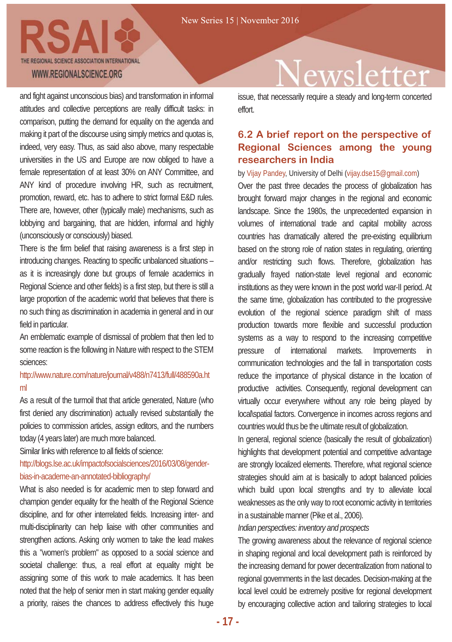and fight against unconscious bias) and transformation in informal attitudes and collective perceptions are really difficult tasks: in comparison, putting the demand for equality on the agenda and making it part of the discourse using simply metrics and quotas is, indeed, very easy. Thus, as said also above, many respectable universities in the US and Europe are now obliged to have a female representation of at least 30% on ANY Committee, and ANY kind of procedure involving HR, such as recruitment, promotion, reward, etc. has to adhere to strict formal E&D rules. There are, however, other (typically male) mechanisms, such as lobbying and bargaining, that are hidden, informal and highly (unconsciously or consciously) biased.

There is the firm belief that raising awareness is a first step in introducing changes. Reacting to specific unbalanced situations – as it is increasingly done but groups of female academics in Regional Science and other fields) is a first step, but there is still a large proportion of the academic world that believes that there is no such thing as discrimination in academia in general and in our field in particular.

An emblematic example of dismissal of problem that then led to some reaction is the following in Nature with respect to the STEM sciences:

#### http://www.nature.com/nature/journal/v488/n7413/full/488590a.ht ml

As a result of the turmoil that that article generated, Nature (who first denied any discrimination) actually revised substantially the policies to commission articles, assign editors, and the numbers today (4 years later) are much more balanced.

Similar links with reference to all fields of science:

http://blogs.lse.ac.uk/impactofsocialsciences/2016/03/08/genderbias-in-academe-an-annotated-bibliography/

What is also needed is for academic men to step forward and champion gender equality for the health of the Regional Science discipline, and for other interrelated fields. Increasing inter- and multi-disciplinarity can help liaise with other communities and strengthen actions. Asking only women to take the lead makes this a "women's problem" as opposed to a social science and societal challenge: thus, a real effort at equality might be assigning some of this work to male academics. It has been noted that the help of senior men in start making gender equality a priority, raises the chances to address effectively this huge

# wsletter

issue, that necessarily require a steady and long-term concerted effort.

### **6.2 A brief report on the perspective of Regional Sciences among the young researchers in India**

#### by Vijay Pandey, University of Delhi (vijay.dse15@gmail.com)

Over the past three decades the process of globalization has brought forward major changes in the regional and economic landscape. Since the 1980s, the unprecedented expansion in volumes of international trade and capital mobility across countries has dramatically altered the pre-existing equilibrium based on the strong role of nation states in regulating, orienting and/or restricting such flows. Therefore, globalization has gradually frayed nation-state level regional and economic institutions as they were known in the post world war-II period. At the same time, globalization has contributed to the progressive evolution of the regional science paradigm shift of mass production towards more flexible and successful production systems as a way to respond to the increasing competitive pressure of international markets. Improvements in communication technologies and the fall in transportation costs reduce the importance of physical distance in the location of productive activities. Consequently, regional development can virtually occur everywhere without any role being played by local\spatial factors. Convergence in incomes across regions and countries would thus be the ultimate result of globalization.

In general, regional science (basically the result of globalization) highlights that development potential and competitive advantage are strongly localized elements. Therefore, what regional science strategies should aim at is basically to adopt balanced policies which build upon local strengths and try to alleviate local weaknesses as the only way to root economic activity in territories in a sustainable manner (Pike et al., 2006).

#### *Indian perspectives: inventory and prospects*

The growing awareness about the relevance of regional science in shaping regional and local development path is reinforced by the increasing demand for power decentralization from national to regional governments in the last decades. Decision-making at the local level could be extremely positive for regional development by encouraging collective action and tailoring strategies to local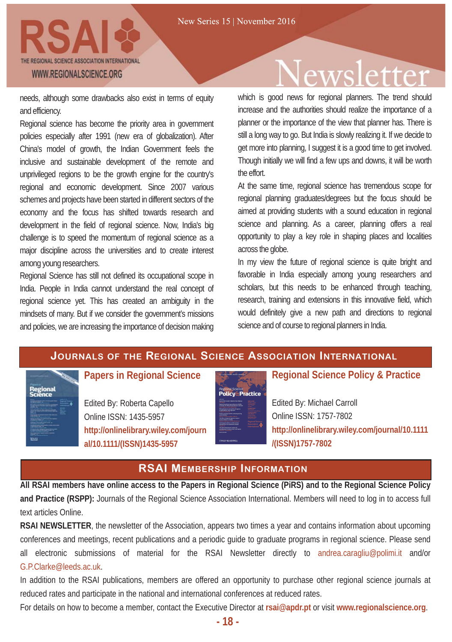

needs, although some drawbacks also exist in terms of equity and efficiency.

Regional science has become the priority area in government policies especially after 1991 (new era of globalization). After China's model of growth, the Indian Government feels the inclusive and sustainable development of the remote and unprivileged regions to be the growth engine for the country's regional and economic development. Since 2007 various schemes and projects have been started in different sectors of the economy and the focus has shifted towards research and development in the field of regional science. Now, India's big challenge is to speed the momentum of regional science as a major discipline across the universities and to create interest among young researchers.

Regional Science has still not defined its occupational scope in India. People in India cannot understand the real concept of regional science yet. This has created an ambiguity in the mindsets of many. But if we consider the government's missions and policies, we are increasing the importance of decision making

# ewsletter

which is good news for regional planners. The trend should increase and the authorities should realize the importance of a planner or the importance of the view that planner has. There is still a long way to go. But India is slowly realizing it. If we decide to get more into planning, I suggest it is a good time to get involved. Though initially we will find a few ups and downs, it will be worth the effort.

At the same time, regional science has tremendous scope for regional planning graduates/degrees but the focus should be aimed at providing students with a sound education in regional science and planning. As a career, planning offers a real opportunity to play a key role in shaping places and localities across the globe.

In my view the future of regional science is quite bright and favorable in India especially among young researchers and scholars, but this needs to be enhanced through teaching, research, training and extensions in this innovative field, which would definitely give a new path and directions to regional science and of course to regional planners in India.

### **JOURNALS OF THE REGIONAL SCIENCE ASSOCIATION INTERNATIONAL**

Regional

#### **Papers in Regional Science**

Edited By: Roberta Capello Online ISSN: 1435-5957 **http://onlinelibrary.wiley.com/journ al/10.1111/(ISSN)1435-5957**



### **Regional Science Policy & Practice**

Edited By: Michael Carroll Online ISSN: 1757-7802 **http://onlinelibrary.wiley.com/journal/10.1111 /(ISSN)1757-7802**

#### **RSAI MEMBERSHIP INFORMATION**

**All RSAI members have online access to the Papers in Regional Science (PiRS) and to the Regional Science Policy and Practice (RSPP):** Journals of the Regional Science Association International. Members will need to log in to access full text articles Online.

**RSAI NEWSLETTER**, the newsletter of the Association, appears two times a year and contains information about upcoming conferences and meetings, recent publications and a periodic guide to graduate programs in regional science. Please send all electronic submissions of material for the RSAI Newsletter directly to andrea.caragliu@polimi.it and/or G.P.Clarke@leeds.ac.uk.

In addition to the RSAI publications, members are offered an opportunity to purchase other regional science journals at reduced rates and participate in the national and international conferences at reduced rates.

For details on how to become a member, contact the Executive Director at **rsai@apdr.pt** or visit **www.regionalscience.org**.